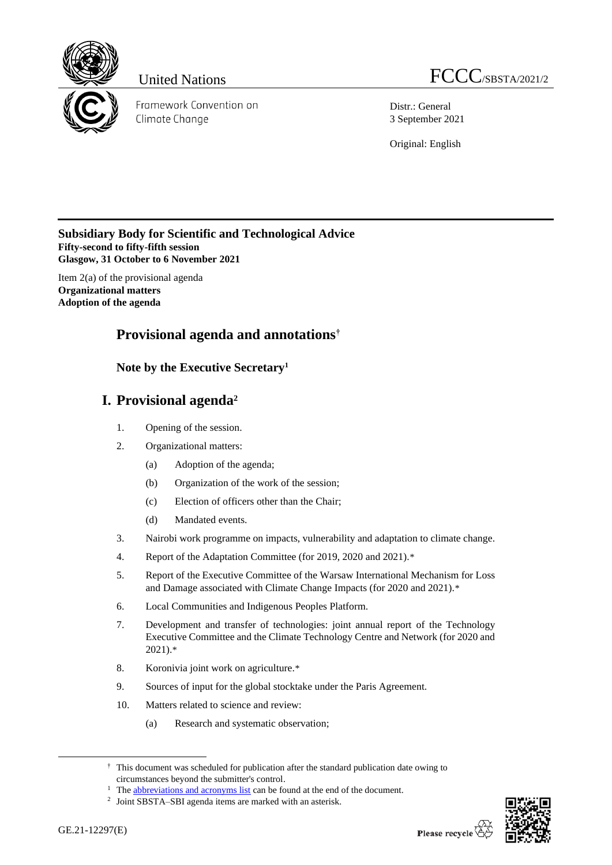

Framework Convention on Climate Change

Distr.: General 3 September 2021

Original: English

# **Subsidiary Body for Scientific and Technological Advice Fifty-second to fifty-fifth session Glasgow, 31 October to 6 November 2021**

Item 2(a) of the provisional agenda **Organizational matters Adoption of the agenda**

# **Provisional agenda and annotations†**

# **Note by the Executive Secretary<sup>1</sup>**

# **I. Provisional agenda<sup>2</sup>**

- 1. Opening of the session.
- 2. Organizational matters:
	- (a) Adoption of the agenda;
	- (b) Organization of the work of the session;
	- (c) Election of officers other than the Chair;
	- (d) Mandated events.
- 3. Nairobi work programme on impacts, vulnerability and adaptation to climate change.
- 4. Report of the Adaptation Committee (for 2019, 2020 and 2021).\*
- 5. Report of the Executive Committee of the Warsaw International Mechanism for Loss and Damage associated with Climate Change Impacts (for 2020 and 2021).\*
- 6. Local Communities and Indigenous Peoples Platform.
- 7. Development and transfer of technologies: joint annual report of the Technology Executive Committee and the Climate Technology Centre and Network (for 2020 and 2021).\*
- 8. Koronivia joint work on agriculture.\*
- 9. Sources of input for the global stocktake under the Paris Agreement.
- 10. Matters related to science and review:
	- (a) Research and systematic observation;



<sup>†</sup> This document was scheduled for publication after the standard publication date owing to circumstances beyond the submitter's control.

<sup>&</sup>lt;sup>1</sup> Th[e abbreviations and acronyms list](#page-20-0) can be found at the end of the document.

<sup>2</sup> Joint SBSTA–SBI agenda items are marked with an asterisk.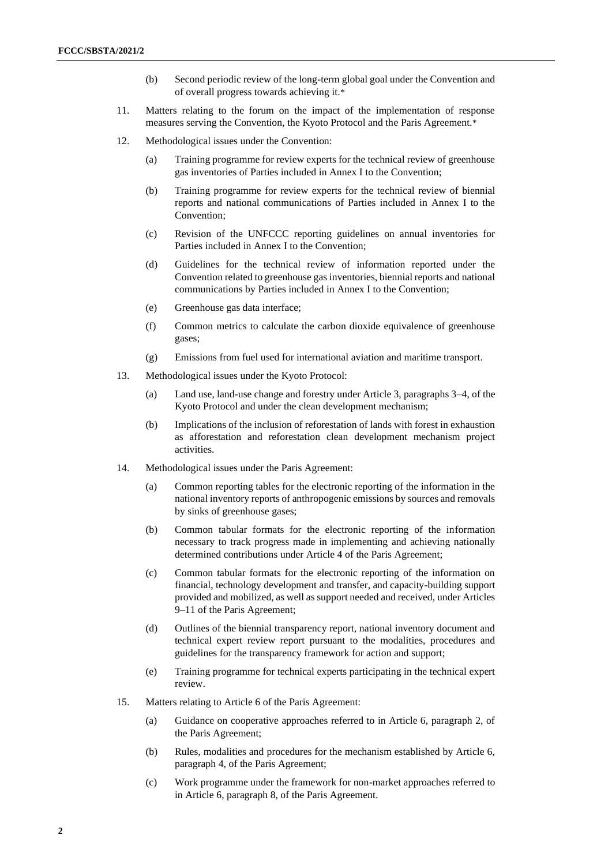- (b) Second periodic review of the long-term global goal under the Convention and of overall progress towards achieving it.\*
- 11. Matters relating to the forum on the impact of the implementation of response measures serving the Convention, the Kyoto Protocol and the Paris Agreement.\*
- 12. Methodological issues under the Convention:
	- (a) Training programme for review experts for the technical review of greenhouse gas inventories of Parties included in Annex I to the Convention;
	- (b) Training programme for review experts for the technical review of biennial reports and national communications of Parties included in Annex I to the Convention;
	- (c) Revision of the UNFCCC reporting guidelines on annual inventories for Parties included in Annex I to the Convention;
	- (d) Guidelines for the technical review of information reported under the Convention related to greenhouse gas inventories, biennial reports and national communications by Parties included in Annex I to the Convention;
	- (e) Greenhouse gas data interface;
	- (f) Common metrics to calculate the carbon dioxide equivalence of greenhouse gases;
	- (g) Emissions from fuel used for international aviation and maritime transport.
- 13. Methodological issues under the Kyoto Protocol:
	- (a) Land use, land-use change and forestry under Article 3, paragraphs 3–4, of the Kyoto Protocol and under the clean development mechanism;
	- (b) Implications of the inclusion of reforestation of lands with forest in exhaustion as afforestation and reforestation clean development mechanism project activities.
- 14. Methodological issues under the Paris Agreement:
	- (a) Common reporting tables for the electronic reporting of the information in the national inventory reports of anthropogenic emissions by sources and removals by sinks of greenhouse gases;
	- (b) Common tabular formats for the electronic reporting of the information necessary to track progress made in implementing and achieving nationally determined contributions under Article 4 of the Paris Agreement;
	- (c) Common tabular formats for the electronic reporting of the information on financial, technology development and transfer, and capacity-building support provided and mobilized, as well as support needed and received, under Articles 9–11 of the Paris Agreement;
	- (d) Outlines of the biennial transparency report, national inventory document and technical expert review report pursuant to the modalities, procedures and guidelines for the transparency framework for action and support;
	- (e) Training programme for technical experts participating in the technical expert review.
- 15. Matters relating to Article 6 of the Paris Agreement:
	- (a) Guidance on cooperative approaches referred to in Article 6, paragraph 2, of the Paris Agreement;
	- (b) Rules, modalities and procedures for the mechanism established by Article 6, paragraph 4, of the Paris Agreement;
	- (c) Work programme under the framework for non-market approaches referred to in Article 6, paragraph 8, of the Paris Agreement.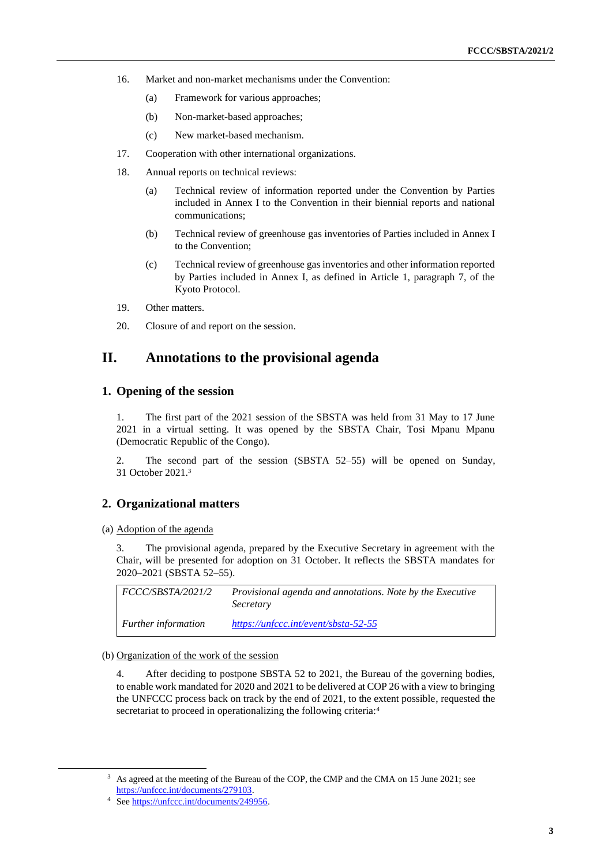- 16. Market and non-market mechanisms under the Convention:
	- (a) Framework for various approaches;
	- (b) Non-market-based approaches;
	- (c) New market-based mechanism.
- 17. Cooperation with other international organizations.
- 18. Annual reports on technical reviews:
	- (a) Technical review of information reported under the Convention by Parties included in Annex I to the Convention in their biennial reports and national communications;
	- (b) Technical review of greenhouse gas inventories of Parties included in Annex I to the Convention;
	- (c) Technical review of greenhouse gas inventories and other information reported by Parties included in Annex I, as defined in Article 1, paragraph 7, of the Kyoto Protocol.
- 19. Other matters.
- 20. Closure of and report on the session.

# **II. Annotations to the provisional agenda**

#### **1. Opening of the session**

1. The first part of the 2021 session of the SBSTA was held from 31 May to 17 June 2021 in a virtual setting. It was opened by the SBSTA Chair, Tosi Mpanu Mpanu (Democratic Republic of the Congo).

2. The second part of the session (SBSTA 52–55) will be opened on Sunday, 31 October 2021.<sup>3</sup>

#### **2. Organizational matters**

(a) Adoption of the agenda

3. The provisional agenda, prepared by the Executive Secretary in agreement with the Chair, will be presented for adoption on 31 October. It reflects the SBSTA mandates for 2020–2021 (SBSTA 52–55).

| <i>FCCC/SBSTA/2021/2</i>   | <i>Provisional agenda and annotations. Note by the Executive</i><br>Secretary |
|----------------------------|-------------------------------------------------------------------------------|
| <b>Further information</b> | $https://unfcc.c.int/event/sbsta-52-55$                                       |

#### (b) Organization of the work of the session

4. After deciding to postpone SBSTA 52 to 2021, the Bureau of the governing bodies, to enable work mandated for 2020 and 2021 to be delivered at COP 26 with a view to bringing the UNFCCC process back on track by the end of 2021, to the extent possible, requested the secretariat to proceed in operationalizing the following criteria:<sup>4</sup>

<sup>&</sup>lt;sup>3</sup> As agreed at the meeting of the Bureau of the COP, the CMP and the CMA on 15 June 2021; see [https://unfccc.int/documents/279103.](https://unfccc.int/documents/279103)

<sup>4</sup> Se[e https://unfccc.int/documents/249956.](https://unfccc.int/documents/249956)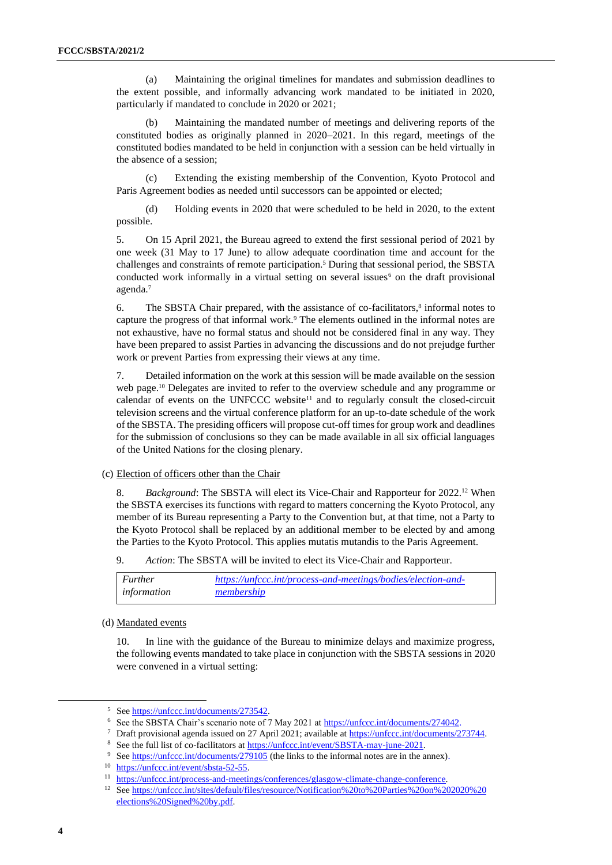(a) Maintaining the original timelines for mandates and submission deadlines to the extent possible, and informally advancing work mandated to be initiated in 2020, particularly if mandated to conclude in 2020 or 2021;

(b) Maintaining the mandated number of meetings and delivering reports of the constituted bodies as originally planned in 2020–2021. In this regard, meetings of the constituted bodies mandated to be held in conjunction with a session can be held virtually in the absence of a session;

(c) Extending the existing membership of the Convention, Kyoto Protocol and Paris Agreement bodies as needed until successors can be appointed or elected;

(d) Holding events in 2020 that were scheduled to be held in 2020, to the extent possible.

5. On 15 April 2021, the Bureau agreed to extend the first sessional period of 2021 by one week (31 May to 17 June) to allow adequate coordination time and account for the challenges and constraints of remote participation.<sup>5</sup> During that sessional period, the SBSTA conducted work informally in a virtual setting on several issues<sup>6</sup> on the draft provisional agenda.<sup>7</sup>

6. The SBSTA Chair prepared, with the assistance of co-facilitators, $\frac{8}{3}$  informal notes to capture the progress of that informal work.<sup>9</sup> The elements outlined in the informal notes are not exhaustive, have no formal status and should not be considered final in any way. They have been prepared to assist Parties in advancing the discussions and do not prejudge further work or prevent Parties from expressing their views at any time.

7. Detailed information on the work at this session will be made available on the session web page.<sup>10</sup> Delegates are invited to refer to the overview schedule and any programme or calendar of events on the UNFCCC website<sup>11</sup> and to regularly consult the closed-circuit television screens and the virtual conference platform for an up-to-date schedule of the work of the SBSTA. The presiding officers will propose cut-off times for group work and deadlines for the submission of conclusions so they can be made available in all six official languages of the United Nations for the closing plenary.

#### (c) Election of officers other than the Chair

8. *Background*: The SBSTA will elect its Vice-Chair and Rapporteur for 2022.<sup>12</sup> When the SBSTA exercises its functions with regard to matters concerning the Kyoto Protocol, any member of its Bureau representing a Party to the Convention but, at that time, not a Party to the Kyoto Protocol shall be replaced by an additional member to be elected by and among the Parties to the Kyoto Protocol. This applies mutatis mutandis to the Paris Agreement.

9. *Action*: The SBSTA will be invited to elect its Vice-Chair and Rapporteur.

| <b>Further</b> | https://unfccc.int/process-and-meetings/bodies/election-and- |
|----------------|--------------------------------------------------------------|
| information    | membership                                                   |

#### (d) Mandated events

10. In line with the guidance of the Bureau to minimize delays and maximize progress, the following events mandated to take place in conjunction with the SBSTA sessions in 2020 were convened in a virtual setting:

<sup>5</sup> Se[e https://unfccc.int/documents/273542.](https://unfccc.int/documents/273542)

<sup>&</sup>lt;sup>6</sup> See the SBSTA Chair's scenario note of 7 May 2021 at [https://unfccc.int/documents/274042.](https://unfccc.int/documents/274042)

<sup>&</sup>lt;sup>7</sup> Draft provisional agenda issued on 27 April 2021; available at [https://unfccc.int/documents/273744.](https://unfccc.int/documents/273744)

<sup>&</sup>lt;sup>8</sup> See the full list of co-facilitators a[t https://unfccc.int/event/SBSTA-may-june-2021.](https://unfccc.int/event/SBSTA-may-june-2021)

<sup>&</sup>lt;sup>9</sup> Se[e https://unfccc.int/documents/279105](https://unfccc.int/documents/279105) (the links to the informal notes are in the annex).

<sup>&</sup>lt;sup>10</sup> [https://unfccc.int/event/sbsta-52-55.](https://unfccc.int/event/sbsta-52-55)

<sup>&</sup>lt;sup>11</sup> [https://unfccc.int/process-and-meetings/conferences/glasgow-climate-change-conference.](https://unfccc.int/process-and-meetings/conferences/glasgow-climate-change-conference)

<sup>12</sup> Se[e https://unfccc.int/sites/default/files/resource/Notification%20to%20Parties%20on%202020%20](https://unfccc.int/sites/default/files/resource/Notification%20to%20Parties%20on%202020%20elections%20Signed%20by.pdf) [elections%20Signed%20by.pdf.](https://unfccc.int/sites/default/files/resource/Notification%20to%20Parties%20on%202020%20elections%20Signed%20by.pdf)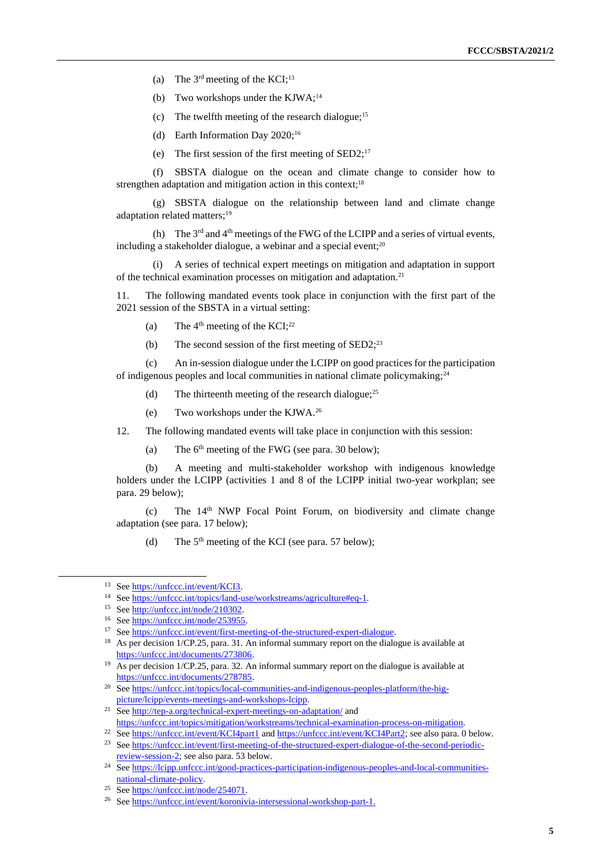- (a) The  $3<sup>rd</sup>$  meeting of the KCI;<sup>13</sup>
- (b) Two workshops under the KJWA;<sup>14</sup>
- (c) The twelfth meeting of the research dialogue;<sup>15</sup>
- (d) Earth Information Day 2020;<sup>16</sup>
- (e) The first session of the first meeting of SED2;<sup>17</sup>

(f) SBSTA dialogue on the ocean and climate change to consider how to strengthen adaptation and mitigation action in this context;<sup>18</sup>

(g) SBSTA dialogue on the relationship between land and climate change adaptation related matters; 19

(h) The  $3<sup>rd</sup>$  and  $4<sup>th</sup>$  meetings of the FWG of the LCIPP and a series of virtual events, including a stakeholder dialogue, a webinar and a special event; $20$ 

(i) A series of technical expert meetings on mitigation and adaptation in support of the technical examination processes on mitigation and adaptation.<sup>21</sup>

11. The following mandated events took place in conjunction with the first part of the 2021 session of the SBSTA in a virtual setting:

- (a) The  $4<sup>th</sup>$  meeting of the KCI;<sup>22</sup>
- (b) The second session of the first meeting of  $\text{SED2;}^{23}$

(c) An in-session dialogue under the LCIPP on good practices for the participation of indigenous peoples and local communities in national climate policymaking;<sup>24</sup>

- (d) The thirteenth meeting of the research dialogue;<sup>25</sup>
- (e) Two workshops under the KJWA.<sup>26</sup>

12. The following mandated events will take place in conjunction with this session:

(a) The  $6<sup>th</sup>$  meeting of the FWG (see para. 30 below);

(b) A meeting and multi-stakeholder workshop with indigenous knowledge holders under the LCIPP (activities 1 and 8 of the LCIPP initial two-year workplan; see para. 29 below);

(c) The 14th NWP Focal Point Forum, on biodiversity and climate change adaptation (see para. 17 below);

(d) The  $5<sup>th</sup>$  meeting of the KCI (see para. 57 below);

<sup>&</sup>lt;sup>13</sup> Se[e https://unfccc.int/event/KCI3.](https://unfccc.int/event/KCI3)

<sup>&</sup>lt;sup>14</sup> Se[e https://unfccc.int/topics/land-use/workstreams/agriculture#eq-1.](https://unfccc.int/topics/land-use/workstreams/agriculture#eq-1)

<sup>15</sup> Se[e http://unfccc.int/node/210302.](http://unfccc.int/node/210302)

<sup>16</sup> Se[e https://unfccc.int/node/253955.](https://unfccc.int/node/253955)

<sup>17</sup> Se[e https://unfccc.int/event/first-meeting-of-the-structured-expert-dialogue.](https://unfccc.int/event/first-meeting-of-the-structured-expert-dialogue)

<sup>&</sup>lt;sup>18</sup> As per decision 1/CP.25, para. 31. An informal summary report on the dialogue is available at [https://unfccc.int/documents/273806.](https://unfccc.int/documents/273806)

<sup>&</sup>lt;sup>19</sup> As per decision 1/CP.25, para. 32. An informal summary report on the dialogue is available at [https://unfccc.int/documents/278785.](https://unfccc.int/documents/278785)

<sup>&</sup>lt;sup>20</sup> Se[e https://unfccc.int/topics/local-communities-and-indigenous-peoples-platform/the-big](https://unfccc.int/topics/local-communities-and-indigenous-peoples-platform/the-big-picture/lcipp/events-meetings-and-workshops-lcipp)[picture/lcipp/events-meetings-and-workshops-lcipp.](https://unfccc.int/topics/local-communities-and-indigenous-peoples-platform/the-big-picture/lcipp/events-meetings-and-workshops-lcipp)

<sup>&</sup>lt;sup>21</sup> Se[e http://tep-a.org/technical-expert-meetings-on-adaptation/](http://tep-a.org/technical-expert-meetings-on-adaptation/) and [https://unfccc.int/topics/mitigation/workstreams/technical-examination-process-on-mitigation.](https://unfccc.int/topics/mitigation/workstreams/technical-examination-process-on-mitigation)

<sup>&</sup>lt;sup>22</sup> Se[e https://unfccc.int/event/KCI4part1](https://unfccc.int/event/KCI4part1) and [https://unfccc.int/event/KCI4Part2;](https://unfccc.int/event/KCI4Part2) see also para[. 0](#page-11-0) below.

<sup>&</sup>lt;sup>23</sup> Se[e https://unfccc.int/event/first-meeting-of-the-structured-expert-dialogue-of-the-second-periodic](https://unfccc.int/event/first-meeting-of-the-structured-expert-dialogue-of-the-second-periodic-review-session-2)[review-session-2;](https://unfccc.int/event/first-meeting-of-the-structured-expert-dialogue-of-the-second-periodic-review-session-2) see also para. 53 below.

<sup>&</sup>lt;sup>24</sup> Se[e https://lcipp.unfccc.int/good-practices-participation-indigenous-peoples-and-local-communities](https://lcipp.unfccc.int/good-practices-participation-indigenous-peoples-and-local-communities-national-climate-policy)[national-climate-policy.](https://lcipp.unfccc.int/good-practices-participation-indigenous-peoples-and-local-communities-national-climate-policy)

<sup>25</sup> Se[e https://unfccc.int/node/254071.](https://unfccc.int/node/254071)

<sup>26</sup> Se[e https://unfccc.int/event/koronivia-intersessional-workshop-part-1.](https://unfccc.int/event/koronivia-intersessional-workshop-part-1)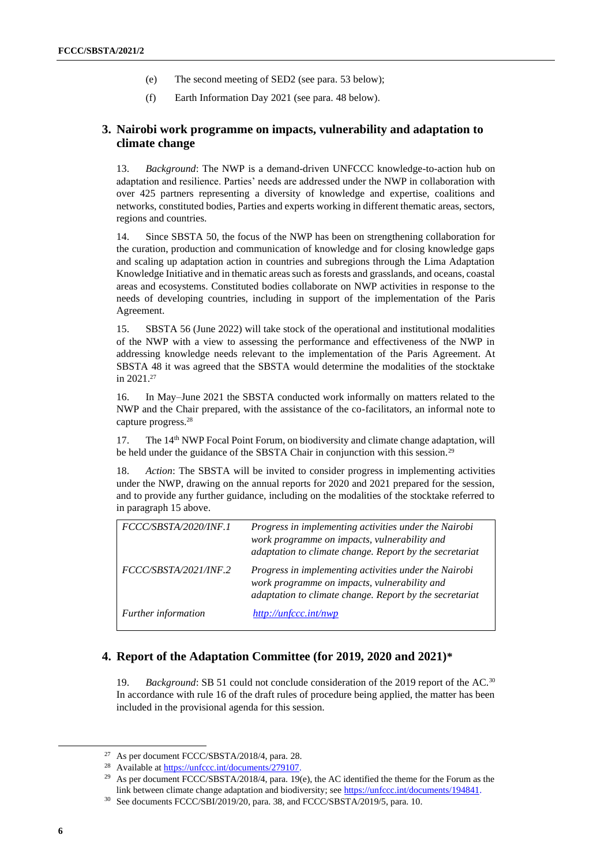- (e) The second meeting of SED2 (see para. 53 below);
- (f) Earth Information Day 2021 (see para. 48 below).

# **3. Nairobi work programme on impacts, vulnerability and adaptation to climate change**

13. *Background*: The NWP is a demand-driven UNFCCC knowledge-to-action hub on adaptation and resilience. Parties' needs are addressed under the NWP in collaboration with over 425 partners representing a diversity of knowledge and expertise, coalitions and networks, constituted bodies, Parties and experts working in different thematic areas, sectors, regions and countries.

14. Since SBSTA 50, the focus of the NWP has been on strengthening collaboration for the curation, production and communication of knowledge and for closing knowledge gaps and scaling up adaptation action in countries and subregions through the Lima Adaptation Knowledge Initiative and in thematic areas such as forests and grasslands, and oceans, coastal areas and ecosystems. Constituted bodies collaborate on NWP activities in response to the needs of developing countries, including in support of the implementation of the Paris Agreement.

15. SBSTA 56 (June 2022) will take stock of the operational and institutional modalities of the NWP with a view to assessing the performance and effectiveness of the NWP in addressing knowledge needs relevant to the implementation of the Paris Agreement. At SBSTA 48 it was agreed that the SBSTA would determine the modalities of the stocktake in 2021.<sup>27</sup>

16. In May–June 2021 the SBSTA conducted work informally on matters related to the NWP and the Chair prepared, with the assistance of the co-facilitators, an informal note to capture progress.<sup>28</sup>

17. The 14<sup>th</sup> NWP Focal Point Forum, on biodiversity and climate change adaptation, will be held under the guidance of the SBSTA Chair in conjunction with this session.<sup>29</sup>

18. *Action*: The SBSTA will be invited to consider progress in implementing activities under the NWP, drawing on the annual reports for 2020 and 2021 prepared for the session, and to provide any further guidance, including on the modalities of the stocktake referred to in paragraph 15 above.

| FCCC/SBSTA/2020/INF.1 | Progress in implementing activities under the Nairobi<br>work programme on impacts, vulnerability and<br>adaptation to climate change. Report by the secretariat |
|-----------------------|------------------------------------------------------------------------------------------------------------------------------------------------------------------|
| FCCC/SBSTA/2021/INF.2 | Progress in implementing activities under the Nairobi<br>work programme on impacts, vulnerability and<br>adaptation to climate change. Report by the secretariat |
| Further information   | http://unfccc.int/nwp                                                                                                                                            |

# **4. Report of the Adaptation Committee (for 2019, 2020 and 2021)\***

19. *Background*: SB 51 could not conclude consideration of the 2019 report of the AC.<sup>30</sup> In accordance with rule 16 of the draft rules of procedure being applied, the matter has been included in the provisional agenda for this session.

<sup>27</sup> As per document FCCC/SBSTA/2018/4, para. 28.

<sup>&</sup>lt;sup>28</sup> Available a[t https://unfccc.int/documents/279107.](https://unfccc.int/documents/279107)

<sup>&</sup>lt;sup>29</sup> As per document FCCC/SBSTA/2018/4, para. 19(e), the AC identified the theme for the Forum as the link between climate change adaptation and biodiversity; see [https://unfccc.int/documents/194841.](https://unfccc.int/documents/194841)

<sup>30</sup> See documents FCCC/SBI/2019/20, para. 38, and FCCC/SBSTA/2019/5, para. 10.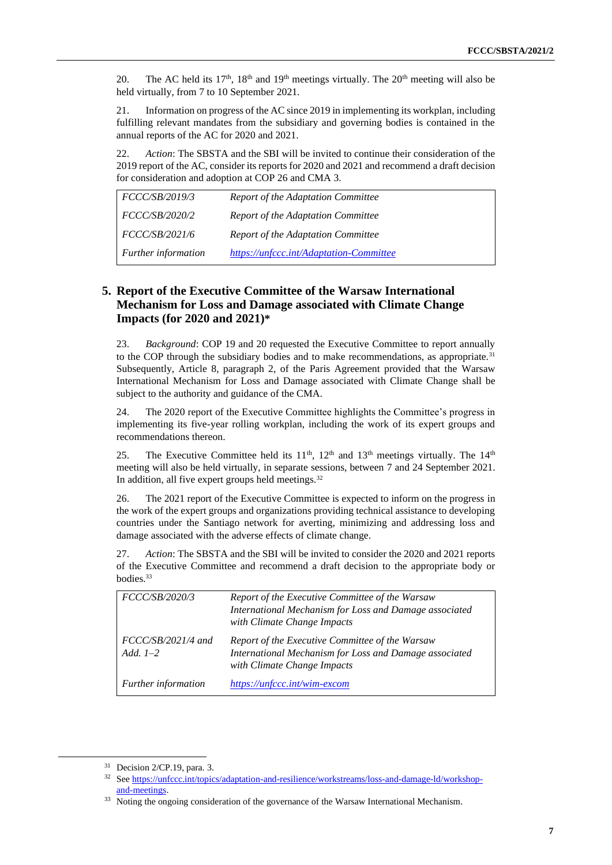20. The AC held its  $17<sup>th</sup>$ ,  $18<sup>th</sup>$  and  $19<sup>th</sup>$  meetings virtually. The  $20<sup>th</sup>$  meeting will also be held virtually, from 7 to 10 September 2021.

21. Information on progress of the AC since 2019 in implementing its workplan, including fulfilling relevant mandates from the subsidiary and governing bodies is contained in the annual reports of the AC for 2020 and 2021.

22. *Action*: The SBSTA and the SBI will be invited to continue their consideration of the 2019 report of the AC, consider its reports for 2020 and 2021 and recommend a draft decision for consideration and adoption at COP 26 and CMA 3.

| <i>FCCC/SB/2019/3</i>      | Report of the Adaptation Committee      |
|----------------------------|-----------------------------------------|
| <i>FCCC/SB/2020/2</i>      | Report of the Adaptation Committee      |
| <i>FCCC/SB/2021/6</i>      | Report of the Adaptation Committee      |
| <b>Further</b> information | https://unfccc.int/Adaptation-Committee |

# **5. Report of the Executive Committee of the Warsaw International Mechanism for Loss and Damage associated with Climate Change Impacts (for 2020 and 2021)\***

23. *Background*: COP 19 and 20 requested the Executive Committee to report annually to the COP through the subsidiary bodies and to make recommendations, as appropriate.<sup>31</sup> Subsequently, Article 8, paragraph 2, of the Paris Agreement provided that the Warsaw International Mechanism for Loss and Damage associated with Climate Change shall be subject to the authority and guidance of the CMA.

24. The 2020 report of the Executive Committee highlights the Committee's progress in implementing its five-year rolling workplan, including the work of its expert groups and recommendations thereon.

25. The Executive Committee held its  $11<sup>th</sup>$ ,  $12<sup>th</sup>$  and  $13<sup>th</sup>$  meetings virtually. The  $14<sup>th</sup>$ meeting will also be held virtually, in separate sessions, between 7 and 24 September 2021. In addition, all five expert groups held meetings.<sup>32</sup>

26. The 2021 report of the Executive Committee is expected to inform on the progress in the work of the expert groups and organizations providing technical assistance to developing countries under the Santiago network for averting, minimizing and addressing loss and damage associated with the adverse effects of climate change.

27. *Action*: The SBSTA and the SBI will be invited to consider the 2020 and 2021 reports of the Executive Committee and recommend a draft decision to the appropriate body or bodies.<sup>33</sup>

| FCCC/SB/2020/3                    | Report of the Executive Committee of the Warsaw<br>International Mechanism for Loss and Damage associated<br>with Climate Change Impacts |
|-----------------------------------|------------------------------------------------------------------------------------------------------------------------------------------|
| $FCCCSB/2021/4$ and<br>Add. $1-2$ | Report of the Executive Committee of the Warsaw<br>International Mechanism for Loss and Damage associated<br>with Climate Change Impacts |
| Further information               | https://unfccc.int/wim-excom                                                                                                             |

<sup>31</sup> Decision 2/CP.19, para. 3.

<sup>32</sup> Se[e https://unfccc.int/topics/adaptation-and-resilience/workstreams/loss-and-damage-ld/workshop](https://unfccc.int/topics/adaptation-and-resilience/workstreams/loss-and-damage-ld/workshop-and-meetings)[and-meetings.](https://unfccc.int/topics/adaptation-and-resilience/workstreams/loss-and-damage-ld/workshop-and-meetings)

<sup>&</sup>lt;sup>33</sup> Noting the ongoing consideration of the governance of the Warsaw International Mechanism.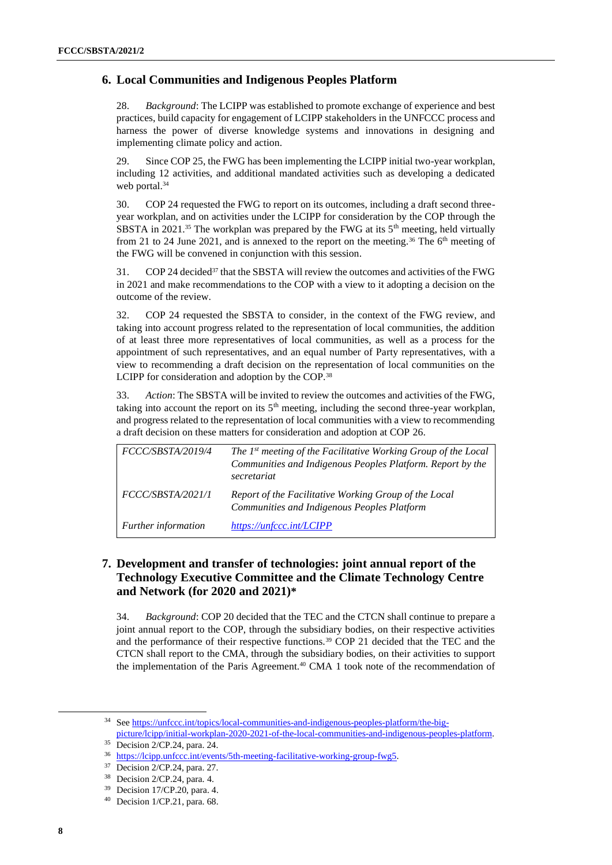## **6. Local Communities and Indigenous Peoples Platform**

28. *Background*: The LCIPP was established to promote exchange of experience and best practices, build capacity for engagement of LCIPP stakeholders in the UNFCCC process and harness the power of diverse knowledge systems and innovations in designing and implementing climate policy and action.

29. Since COP 25, the FWG has been implementing the LCIPP initial two-year workplan, including 12 activities, and additional mandated activities such as developing a dedicated web portal.<sup>34</sup>

30. COP 24 requested the FWG to report on its outcomes, including a draft second threeyear workplan, and on activities under the LCIPP for consideration by the COP through the SBSTA in 2021.<sup>35</sup> The workplan was prepared by the FWG at its  $5<sup>th</sup>$  meeting, held virtually from 21 to 24 June 2021, and is annexed to the report on the meeting.<sup>36</sup> The  $6<sup>th</sup>$  meeting of the FWG will be convened in conjunction with this session.

31. COP 24 decided<sup>37</sup> that the SBSTA will review the outcomes and activities of the FWG in 2021 and make recommendations to the COP with a view to it adopting a decision on the outcome of the review.

32. COP 24 requested the SBSTA to consider, in the context of the FWG review, and taking into account progress related to the representation of local communities, the addition of at least three more representatives of local communities, as well as a process for the appointment of such representatives, and an equal number of Party representatives, with a view to recommending a draft decision on the representation of local communities on the LCIPP for consideration and adoption by the COP.<sup>38</sup>

33. *Action*: The SBSTA will be invited to review the outcomes and activities of the FWG, taking into account the report on its  $5<sup>th</sup>$  meeting, including the second three-year workplan, and progress related to the representation of local communities with a view to recommending a draft decision on these matters for consideration and adoption at COP 26.

| FCCC/SBSTA/2019/4          | The 1 <sup>st</sup> meeting of the Facilitative Working Group of the Local<br>Communities and Indigenous Peoples Platform. Report by the<br>secretariat |
|----------------------------|---------------------------------------------------------------------------------------------------------------------------------------------------------|
| FCCC/SBSTA/2021/1          | Report of the Facilitative Working Group of the Local<br>Communities and Indigenous Peoples Platform                                                    |
| <b>Further</b> information | https://unfccc.int/LCIPP                                                                                                                                |

# **7. Development and transfer of technologies: joint annual report of the Technology Executive Committee and the Climate Technology Centre and Network (for 2020 and 2021)\***

34. *Background*: COP 20 decided that the TEC and the CTCN shall continue to prepare a joint annual report to the COP, through the subsidiary bodies, on their respective activities and the performance of their respective functions.<sup>39</sup> COP 21 decided that the TEC and the CTCN shall report to the CMA, through the subsidiary bodies, on their activities to support the implementation of the Paris Agreement.<sup>40</sup> CMA 1 took note of the recommendation of

<sup>&</sup>lt;sup>34</sup> Se[e https://unfccc.int/topics/local-communities-and-indigenous-peoples-platform/the-big](https://unfccc.int/topics/local-communities-and-indigenous-peoples-platform/the-big-picture/lcipp/initial-workplan-2020-2021-of-the-local-communities-and-indigenous-peoples-platform)[picture/lcipp/initial-workplan-2020-2021-of-the-local-communities-and-indigenous-peoples-platform.](https://unfccc.int/topics/local-communities-and-indigenous-peoples-platform/the-big-picture/lcipp/initial-workplan-2020-2021-of-the-local-communities-and-indigenous-peoples-platform)

<sup>35</sup> Decision 2/CP.24, para. 24.

<sup>36</sup> [https://lcipp.unfccc.int/events/5th-meeting-facilitative-working-group-fwg5.](https://lcipp.unfccc.int/events/5th-meeting-facilitative-working-group-fwg5S)

<sup>37</sup> Decision 2/CP.24, para. 27.

<sup>38</sup> Decision 2/CP.24, para. 4.

<sup>39</sup> Decision 17/CP.20, para. 4.

<sup>40</sup> Decision 1/CP.21, para. 68.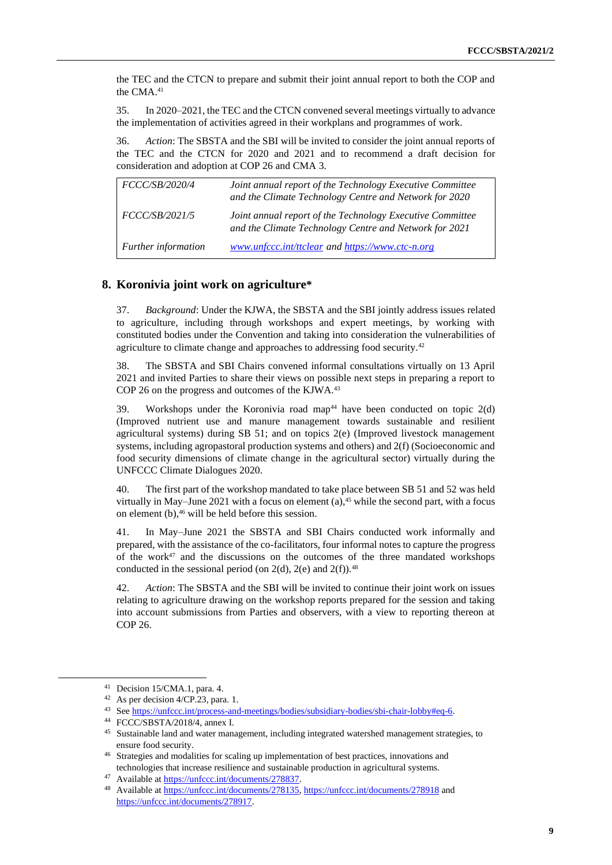the TEC and the CTCN to prepare and submit their joint annual report to both the COP and the CMA.<sup>41</sup>

35. In 2020–2021, the TEC and the CTCN convened several meetings virtually to advance the implementation of activities agreed in their workplans and programmes of work.

36. *Action*: The SBSTA and the SBI will be invited to consider the joint annual reports of the TEC and the CTCN for 2020 and 2021 and to recommend a draft decision for consideration and adoption at COP 26 and CMA 3.

| <i>FCCC/SB/2020/4</i> | Joint annual report of the Technology Executive Committee<br>and the Climate Technology Centre and Network for 2020 |
|-----------------------|---------------------------------------------------------------------------------------------------------------------|
| FCCC/SB/2021/5        | Joint annual report of the Technology Executive Committee<br>and the Climate Technology Centre and Network for 2021 |
| Further information   | www.unfccc.int/ttclear and https://www.ctc-n.org                                                                    |

#### **8. Koronivia joint work on agriculture\***

37. *Background*: Under the KJWA, the SBSTA and the SBI jointly address issues related to agriculture, including through workshops and expert meetings, by working with constituted bodies under the Convention and taking into consideration the vulnerabilities of agriculture to climate change and approaches to addressing food security.<sup>42</sup>

38. The SBSTA and SBI Chairs convened informal consultations virtually on 13 April 2021 and invited Parties to share their views on possible next steps in preparing a report to COP 26 on the progress and outcomes of the KJWA. 43

39. Workshops under the Koronivia road map<sup>44</sup> have been conducted on topic  $2(d)$ (Improved nutrient use and manure management towards sustainable and resilient agricultural systems) during SB 51; and on topics 2(e) (Improved livestock management systems, including agropastoral production systems and others) and 2(f) (Socioeconomic and food security dimensions of climate change in the agricultural sector) virtually during the UNFCCC Climate Dialogues 2020.

40. The first part of the workshop mandated to take place between SB 51 and 52 was held virtually in May–June 2021 with a focus on element (a), $45$  while the second part, with a focus on element  $(b)$ ,  $46$  will be held before this session.

41. In May–June 2021 the SBSTA and SBI Chairs conducted work informally and prepared, with the assistance of the co-facilitators, four informal notes to capture the progress of the work $47$  and the discussions on the outcomes of the three mandated workshops conducted in the sessional period (on  $2(d)$ ,  $2(e)$  and  $2(f)$ ).<sup>48</sup>

42. *Action*: The SBSTA and the SBI will be invited to continue their joint work on issues relating to agriculture drawing on the workshop reports prepared for the session and taking into account submissions from Parties and observers, with a view to reporting thereon at COP 26.

<sup>41</sup> Decision 15/CMA.1, para. 4.

<sup>42</sup> As per decision 4/CP.23, para. 1.

<sup>43</sup> Se[e https://unfccc.int/process-and-meetings/bodies/subsidiary-bodies/sbi-chair-lobby#eq-6.](https://unfccc.int/process-and-meetings/bodies/subsidiary-bodies/sbi-chair-lobby#eq-6) 

<sup>44</sup> FCCC/SBSTA/2018/4, annex I.

<sup>&</sup>lt;sup>45</sup> Sustainable land and water management, including integrated watershed management strategies, to ensure food security.

<sup>46</sup> Strategies and modalities for scaling up implementation of best practices, innovations and technologies that increase resilience and sustainable production in agricultural systems.

<sup>47</sup> Available a[t https://unfccc.int/documents/278837.](https://unfccc.int/documents/278837)

<sup>48</sup> Available a[t https://unfccc.int/documents/278135,](https://unfccc.int/documents/278135)<https://unfccc.int/documents/278918> and [https://unfccc.int/documents/278917.](https://unfccc.int/documents/278917)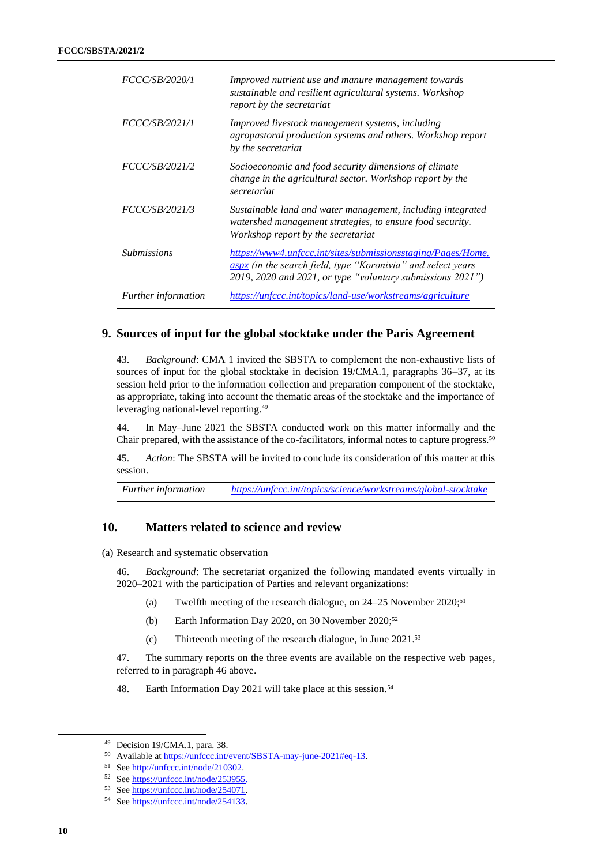| FCCC/SB/2020/1             | Improved nutrient use and manure management towards<br>sustainable and resilient agricultural systems. Workshop<br>report by the secretariat                                               |
|----------------------------|--------------------------------------------------------------------------------------------------------------------------------------------------------------------------------------------|
| <i>FCCC/SB/2021/1</i>      | Improved livestock management systems, including<br>agropastoral production systems and others. Workshop report<br>by the secretariat                                                      |
| FCCC/SB/2021/2             | Socioeconomic and food security dimensions of climate<br>change in the agricultural sector. Workshop report by the<br>secretariat                                                          |
| <i>FCCC/SB/2021/3</i>      | Sustainable land and water management, including integrated<br>watershed management strategies, to ensure food security.<br>Workshop report by the secretariat                             |
| <i>Submissions</i>         | https://www4.unfccc.int/sites/submissionsstaging/Pages/Home.<br>aspx (in the search field, type "Koronivia" and select years<br>2019, 2020 and 2021, or type "voluntary submissions 2021") |
| <i>Further information</i> | https://unfccc.int/topics/land-use/workstreams/agriculture                                                                                                                                 |

#### **9. Sources of input for the global stocktake under the Paris Agreement**

43. *Background*: CMA 1 invited the SBSTA to complement the non-exhaustive lists of sources of input for the global stocktake in decision 19/CMA.1, paragraphs 36–37, at its session held prior to the information collection and preparation component of the stocktake, as appropriate, taking into account the thematic areas of the stocktake and the importance of leveraging national-level reporting.<sup>49</sup>

44. In May–June 2021 the SBSTA conducted work on this matter informally and the Chair prepared, with the assistance of the co-facilitators, informal notes to capture progress.<sup>50</sup>

45. *Action*: The SBSTA will be invited to conclude its consideration of this matter at this session.

*Further information <https://unfccc.int/topics/science/workstreams/global-stocktake>*

#### **10. Matters related to science and review**

(a) Research and systematic observation

46. *Background*: The secretariat organized the following mandated events virtually in 2020–2021 with the participation of Parties and relevant organizations:

- (a) Twelfth meeting of the research dialogue, on  $24-25$  November  $2020$ ;<sup>51</sup>
- (b) Earth Information Day 2020, on 30 November 2020; 52
- (c) Thirteenth meeting of the research dialogue, in June 2021.<sup>53</sup>

47. The summary reports on the three events are available on the respective web pages, referred to in paragraph 46 above.

48. Earth Information Day 2021 will take place at this session. 54

<sup>49</sup> Decision 19/CMA.1, para. 38.

<sup>50</sup> Available a[t https://unfccc.int/event/SBSTA-may-june-2021#eq-13.](https://unfccc.int/event/SBSTA-may-june-2021#eq-13)

<sup>51</sup> Se[e http://unfccc.int/node/210302.](http://unfccc.int/node/210302)

<sup>52</sup> Se[e https://unfccc.int/node/253955.](https://unfccc.int/node/253955)

<sup>53</sup> Se[e https://unfccc.int/node/254071.](https://unfccc.int/node/254071)

<sup>54</sup> Se[e https://unfccc.int/node/254133.](https://unfccc.int/node/254133)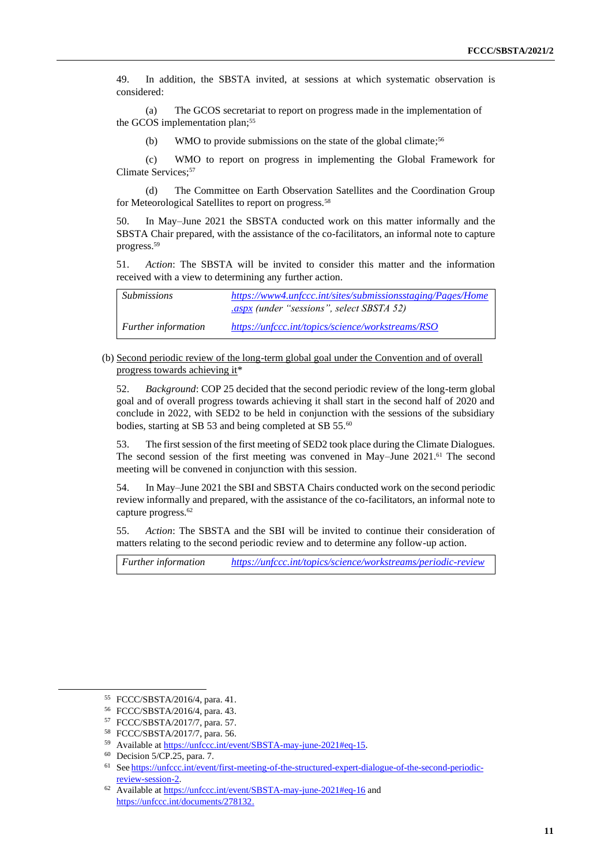49. In addition, the SBSTA invited, at sessions at which systematic observation is considered:

(a) The GCOS secretariat to report on progress made in the implementation of the GCOS implementation plan;<sup>55</sup>

(b) WMO to provide submissions on the state of the global climate;<sup>56</sup>

(c) WMO to report on progress in implementing the Global Framework for Climate Services;<sup>57</sup>

(d) The Committee on Earth Observation Satellites and the Coordination Group for Meteorological Satellites to report on progress.<sup>58</sup>

In May–June 2021 the SBSTA conducted work on this matter informally and the SBSTA Chair prepared, with the assistance of the co-facilitators, an informal note to capture progress.<sup>59</sup>

51. *Action*: The SBSTA will be invited to consider this matter and the information received with a view to determining any further action.

| <i>Submissions</i>         | https://www4.unfccc.int/sites/submissionsstaging/Pages/Home |
|----------------------------|-------------------------------------------------------------|
|                            | <i>aspx (under "sessions", select SBSTA 52)</i>             |
| <i>Further information</i> | https://unfccc.int/topics/science/workstreams/RSO           |

(b) Second periodic review of the long-term global goal under the Convention and of overall progress towards achieving it\*

52. *Background*: COP 25 decided that the second periodic review of the long-term global goal and of overall progress towards achieving it shall start in the second half of 2020 and conclude in 2022, with SED2 to be held in conjunction with the sessions of the subsidiary bodies, starting at SB 53 and being completed at SB 55.<sup>60</sup>

53. The first session of the first meeting of SED2 took place during the Climate Dialogues. The second session of the first meeting was convened in May–June 2021.<sup>61</sup> The second meeting will be convened in conjunction with this session.

54. In May–June 2021 the SBI and SBSTA Chairs conducted work on the second periodic review informally and prepared, with the assistance of the co-facilitators, an informal note to capture progress.<sup>62</sup>

55. *Action*: The SBSTA and the SBI will be invited to continue their consideration of matters relating to the second periodic review and to determine any follow-up action.

*Further information <https://unfccc.int/topics/science/workstreams/periodic-review>*

<sup>55</sup> FCCC/SBSTA/2016/4, para. 41.

<sup>56</sup> FCCC/SBSTA/2016/4, para. 43.

<sup>57</sup> FCCC/SBSTA/2017/7, para. 57.

<sup>58</sup> FCCC/SBSTA/2017/7, para. 56.

<sup>59</sup> Available a[t https://unfccc.int/event/SBSTA-may-june-2021#eq-15.](https://unfccc.int/event/SBSTA-may-june-2021#eq-15)

<sup>60</sup> Decision 5/CP.25, para. 7.

<sup>61</sup> See [https://unfccc.int/event/first-meeting-of-the-structured-expert-dialogue-of-the-second-periodic](https://unfccc.int/event/first-meeting-of-the-structured-expert-dialogue-of-the-second-periodic-review-session-2)[review-session-2.](https://unfccc.int/event/first-meeting-of-the-structured-expert-dialogue-of-the-second-periodic-review-session-2)

<sup>62</sup> Available a[t https://unfccc.int/event/SBSTA-may-june-2021#eq-16](https://unfccc.int/event/SBSTA-may-june-2021#eq-16) and [https://unfccc.int/documents/278132.](https://unfccc.int/documents/278132)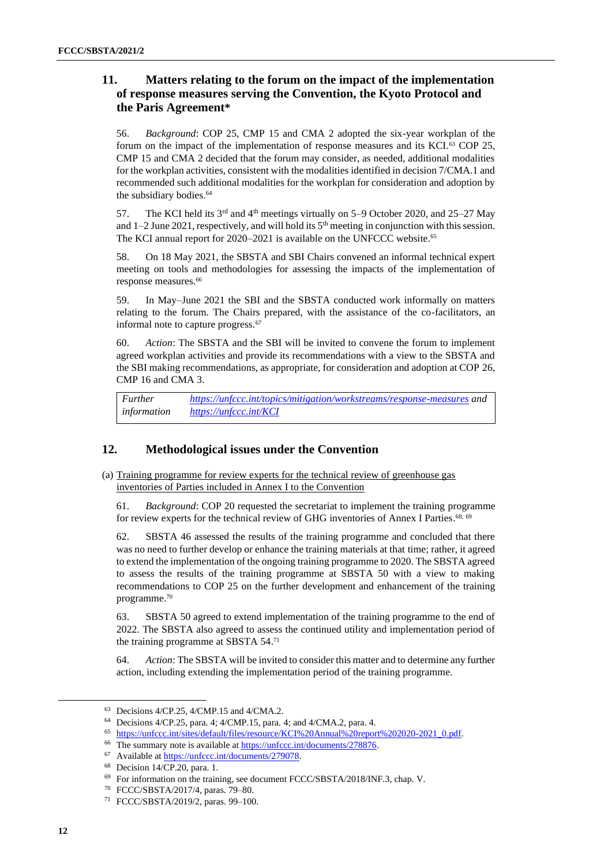# **11. Matters relating to the forum on the impact of the implementation of response measures serving the Convention, the Kyoto Protocol and the Paris Agreement\***

56. *Background*: COP 25, CMP 15 and CMA 2 adopted the six-year workplan of the forum on the impact of the implementation of response measures and its KCI.<sup>63</sup> COP 25, CMP 15 and CMA 2 decided that the forum may consider, as needed, additional modalities for the workplan activities, consistent with the modalities identified in decision 7/CMA.1 and recommended such additional modalities for the workplan for consideration and adoption by the subsidiary bodies.<sup>64</sup>

<span id="page-11-0"></span>57. The KCI held its 3<sup>rd</sup> and 4<sup>th</sup> meetings virtually on 5–9 October 2020, and 25–27 May and  $1-2$  June 2021, respectively, and will hold its  $5<sup>th</sup>$  meeting in conjunction with this session. The KCI annual report for 2020–2021 is available on the UNFCCC website.<sup>65</sup>

58. On 18 May 2021, the SBSTA and SBI Chairs convened an informal technical expert meeting on tools and methodologies for assessing the impacts of the implementation of response measures.<sup>66</sup>

59. In May–June 2021 the SBI and the SBSTA conducted work informally on matters relating to the forum. The Chairs prepared, with the assistance of the co-facilitators, an informal note to capture progress.<sup>67</sup>

60. *Action*: The SBSTA and the SBI will be invited to convene the forum to implement agreed workplan activities and provide its recommendations with a view to the SBSTA and the SBI making recommendations, as appropriate, for consideration and adoption at COP 26, CMP 16 and CMA 3.

*Further information <https://unfccc.int/topics/mitigation/workstreams/response-measures> and <https://unfccc.int/KCI>*

# **12. Methodological issues under the Convention**

(a) Training programme for review experts for the technical review of greenhouse gas inventories of Parties included in Annex I to the Convention

61. *Background*: COP 20 requested the secretariat to implement the training programme for review experts for the technical review of GHG inventories of Annex I Parties.<sup>68, 69</sup>

62. SBSTA 46 assessed the results of the training programme and concluded that there was no need to further develop or enhance the training materials at that time; rather, it agreed to extend the implementation of the ongoing training programme to 2020. The SBSTA agreed to assess the results of the training programme at SBSTA 50 with a view to making recommendations to COP 25 on the further development and enhancement of the training programme. 70

63. SBSTA 50 agreed to extend implementation of the training programme to the end of 2022. The SBSTA also agreed to assess the continued utility and implementation period of the training programme at SBSTA 54.71

64. *Action*: The SBSTA will be invited to consider this matter and to determine any further action, including extending the implementation period of the training programme.

<sup>63</sup> Decisions 4/CP.25, 4/CMP.15 and 4/CMA.2.

<sup>64</sup> Decisions 4/CP.25, para. 4; 4/CMP.15, para. 4; and 4/CMA.2, para. 4.

<sup>65</sup> [https://unfccc.int/sites/default/files/resource/KCI%20Annual%20report%202020-2021\\_0.pdf.](https://unfccc.int/sites/default/files/resource/KCI%20Annual%20report%202020-2021_0.pdf)

<sup>&</sup>lt;sup>66</sup> The summary note is available at [https://unfccc.int/documents/278876.](https://unfccc.int/documents/278876)

<sup>67</sup> Available a[t https://unfccc.int/documents/279078.](https://unfccc.int/documents/279078)

<sup>68</sup> Decision 14/CP.20, para. 1.

<sup>69</sup> For information on the training, see document FCCC/SBSTA/2018/INF.3, chap. V.

<sup>70</sup> FCCC/SBSTA/2017/4, paras. 79–80.

<sup>71</sup> [FCCC/SBSTA/2019/2,](https://unfccc.int/documents/199148) paras. 99–100.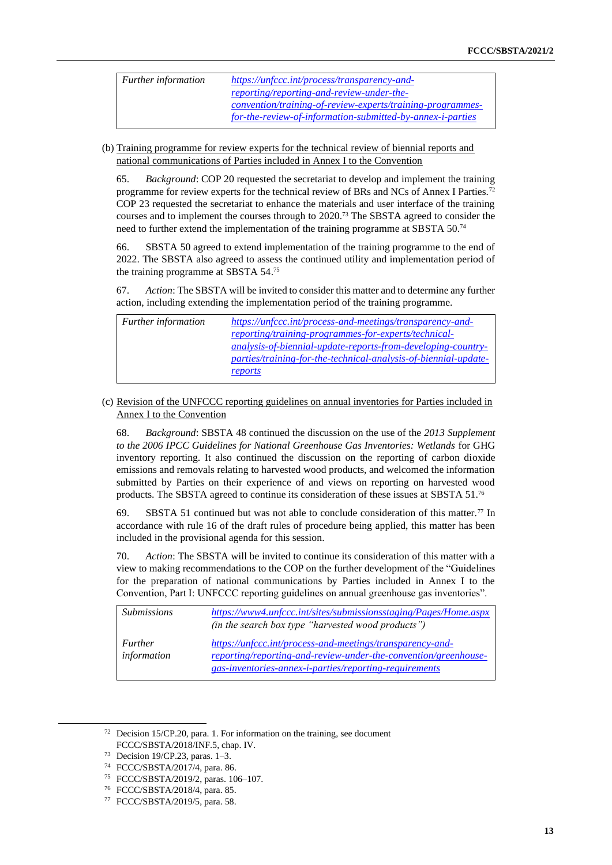| <i>Further information</i> | https://unfccc.int/process/transparency-and-               |
|----------------------------|------------------------------------------------------------|
|                            | reporting/reporting-and-review-under-the-                  |
|                            | convention/training-of-review-experts/training-programmes- |
|                            | for-the-review-of-information-submitted-by-annex-i-parties |

(b) Training programme for review experts for the technical review of biennial reports and national communications of Parties included in Annex I to the Convention

65. *Background*: COP 20 requested the secretariat to develop and implement the training programme for review experts for the technical review of BRs and NCs of Annex I Parties.<sup>72</sup> COP 23 requested the secretariat to enhance the materials and user interface of the training courses and to implement the courses through to 2020.<sup>73</sup> The SBSTA agreed to consider the need to further extend the implementation of the training programme at SBSTA 50.<sup>74</sup>

66. SBSTA 50 agreed to extend implementation of the training programme to the end of 2022. The SBSTA also agreed to assess the continued utility and implementation period of the training programme at SBSTA 54. 75

67. *Action*: The SBSTA will be invited to consider this matter and to determine any further action, including extending the implementation period of the training programme.

| Further information | https://unfccc.int/process-and-meetings/transparency-and-           |
|---------------------|---------------------------------------------------------------------|
|                     | reporting/training-programmes-for-experts/technical-                |
|                     | <i>analysis-of-biennial-update-reports-from-developing-country-</i> |
|                     | parties/training-for-the-technical-analysis-of-biennial-update-     |
|                     | reports                                                             |

#### (c) Revision of the UNFCCC reporting guidelines on annual inventories for Parties included in Annex I to the Convention

68. *Background*: SBSTA 48 continued the discussion on the use of the *2013 Supplement to the 2006 IPCC Guidelines for National Greenhouse Gas Inventories: Wetlands* for GHG inventory reporting. It also continued the discussion on the reporting of carbon dioxide emissions and removals relating to harvested wood products, and welcomed the information submitted by Parties on their experience of and views on reporting on harvested wood products. The SBSTA agreed to continue its consideration of these issues at SBSTA 51.<sup>76</sup>

69. SBSTA 51 continued but was not able to conclude consideration of this matter.<sup>77</sup> In accordance with rule 16 of the draft rules of procedure being applied, this matter has been included in the provisional agenda for this session.

70. *Action*: The SBSTA will be invited to continue its consideration of this matter with a view to making recommendations to the COP on the further development of the "Guidelines for the preparation of national communications by Parties included in Annex I to the Convention, Part I: UNFCCC reporting guidelines on annual greenhouse gas inventories".

| <i>Submissions</i>            | https://www4.unfccc.int/sites/submissionsstaging/Pages/Home.aspx<br>(in the search box type "harvested wood products")                                                                 |
|-------------------------------|----------------------------------------------------------------------------------------------------------------------------------------------------------------------------------------|
| <b>Further</b><br>information | https://unfccc.int/process-and-meetings/transparency-and-<br>reporting/reporting-and-review-under-the-convention/greenhouse-<br>gas-inventories-annex-i-parties/reporting-requirements |

<sup>72</sup> Decision 15/CP.20, para. 1. For information on the training, see document FCCC/SBSTA/2018/INF.5, chap. IV.

<sup>73</sup> Decision 19/CP.23, paras. 1–3.

<sup>74</sup> FCCC/SBSTA/2017/4, para. 86.

<sup>75</sup> [FCCC/SBSTA/2019/2,](https://unfccc.int/documents/199148) paras. 106–107.

<sup>76</sup> FCCC/SBSTA/2018/4, para. 85.

<sup>77</sup> FCCC/SBSTA/2019/5, para. 58.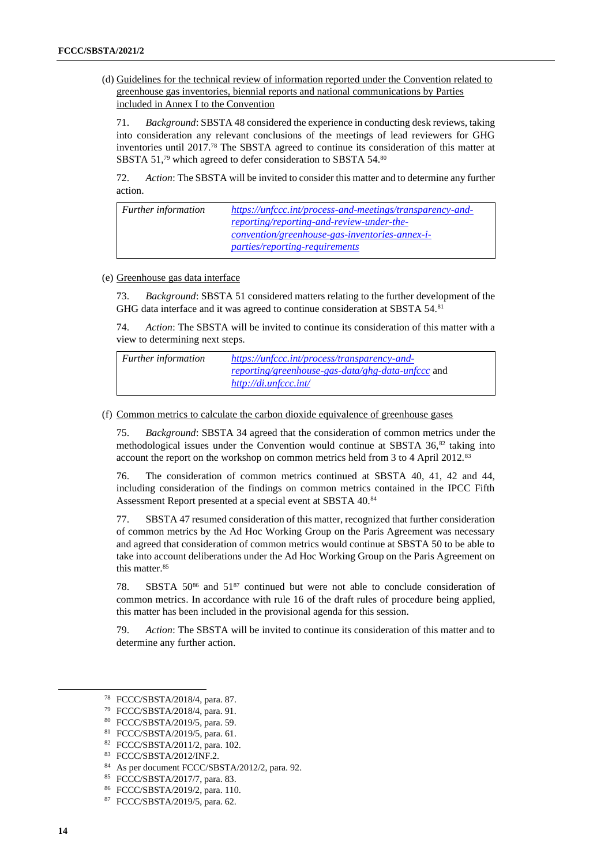(d) Guidelines for the technical review of information reported under the Convention related to greenhouse gas inventories, biennial reports and national communications by Parties included in Annex I to the Convention

71. *Background*: SBSTA 48 considered the experience in conducting desk reviews, taking into consideration any relevant conclusions of the meetings of lead reviewers for GHG inventories until 2017.<sup>78</sup> The SBSTA agreed to continue its consideration of this matter at SBSTA 51,<sup>79</sup> which agreed to defer consideration to SBSTA 54.80

72. *Action*: The SBSTA will be invited to consider this matter and to determine any further action.

| <b>Further</b> information | https://unfccc.int/process-and-meetings/transparency-and- |
|----------------------------|-----------------------------------------------------------|
|                            | reporting/reporting-and-review-under-the-                 |
|                            | <u>convention/greenhouse-gas-inventories-annex-i-</u>     |
|                            | <i>parties/reporting-requirements</i>                     |

#### (e) Greenhouse gas data interface

73. *Background*: SBSTA 51 considered matters relating to the further development of the GHG data interface and it was agreed to continue consideration at SBSTA 54.<sup>81</sup>

74. *Action*: The SBSTA will be invited to continue its consideration of this matter with a view to determining next steps.

| <i>Further information</i> | https://unfccc.int/process/transparency-and-             |
|----------------------------|----------------------------------------------------------|
|                            | <i>reporting/greenhouse-gas-data/ghg-data-unfccc and</i> |
|                            | http://di.unfccc.int/                                    |

(f) Common metrics to calculate the carbon dioxide equivalence of greenhouse gases

75. *Background*: SBSTA 34 agreed that the consideration of common metrics under the methodological issues under the Convention would continue at SBSTA  $36$ <sup>82</sup> taking into account the report on the workshop on common metrics held from 3 to 4 April 2012.<sup>83</sup>

76. The consideration of common metrics continued at SBSTA 40, 41, 42 and 44, including consideration of the findings on common metrics contained in the IPCC Fifth Assessment Report presented at a special event at SBSTA 40.<sup>84</sup>

77. SBSTA 47 resumed consideration of this matter, recognized that further consideration of common metrics by the Ad Hoc Working Group on the Paris Agreement was necessary and agreed that consideration of common metrics would continue at SBSTA 50 to be able to take into account deliberations under the Ad Hoc Working Group on the Paris Agreement on this matter.<sup>85</sup>

78. SBSTA 50<sup>86</sup> and 51<sup>87</sup> continued but were not able to conclude consideration of common metrics. In accordance with rule 16 of the draft rules of procedure being applied, this matter has been included in the provisional agenda for this session.

79. *Action*: The SBSTA will be invited to continue its consideration of this matter and to determine any further action.

<sup>78</sup> FCCC/SBSTA/2018/4, para. 87.

<sup>79</sup> FCCC/SBSTA/2018/4, para. 91.

<sup>80</sup> FCCC/SBSTA/2019/5, para. 59.

<sup>81</sup> FCCC/SBSTA/2019/5, para. 61.

<sup>82</sup> FCCC/SBSTA/2011/2, para. 102.

<sup>83</sup> FCCC/SBSTA/2012/INF.2.

<sup>84</sup> As per document FCCC/SBSTA/2012/2, para. 92.

<sup>85</sup> FCCC/SBSTA/2017/7, para. 83.

<sup>86</sup> FCCC/SBSTA/2019/2, para. 110.

<sup>87</sup> FCCC/SBSTA/2019/5, para. 62.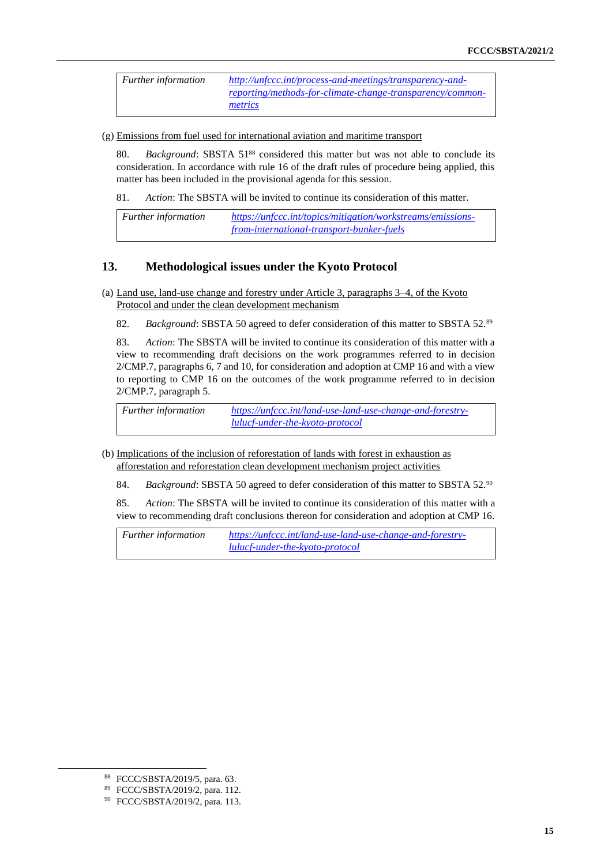*Further information [http://unfccc.int/process-and-meetings/transparency-and](http://unfccc.int/process-and-meetings/transparency-and-reporting/methods-for-climate-change-transparency/common-metrics)[reporting/methods-for-climate-change-transparency/common](http://unfccc.int/process-and-meetings/transparency-and-reporting/methods-for-climate-change-transparency/common-metrics)[metrics](http://unfccc.int/process-and-meetings/transparency-and-reporting/methods-for-climate-change-transparency/common-metrics)*

(g) Emissions from fuel used for international aviation and maritime transport

80. *Background*: SBSTA 51<sup>88</sup> considered this matter but was not able to conclude its consideration. In accordance with rule 16 of the draft rules of procedure being applied, this matter has been included in the provisional agenda for this session.

81. *Action*: The SBSTA will be invited to continue its consideration of this matter.

*Further information [https://unfccc.int/topics/mitigation/workstreams/emissions](https://unfccc.int/topics/mitigation/workstreams/emissions-from-international-transport-bunker-fuels)[from-international-transport-bunker-fuels](https://unfccc.int/topics/mitigation/workstreams/emissions-from-international-transport-bunker-fuels)*

## **13. Methodological issues under the Kyoto Protocol**

- (a) Land use, land-use change and forestry under Article 3, paragraphs 3–4, of the Kyoto Protocol and under the clean development mechanism
	- 82. *Background*: SBSTA 50 agreed to defer consideration of this matter to SBSTA 52.<sup>89</sup>

83. *Action*: The SBSTA will be invited to continue its consideration of this matter with a view to recommending draft decisions on the work programmes referred to in decision 2/CMP.7, paragraphs 6, 7 and 10, for consideration and adoption at CMP 16 and with a view to reporting to CMP 16 on the outcomes of the work programme referred to in decision 2/CMP.7, paragraph 5.

*Further information [https://unfccc.int/land-use-land-use-change-and-forestry](https://unfccc.int/land-use-land-use-change-and-forestry-lulucf-under-the-kyoto-protocol)[lulucf-under-the-kyoto-protocol](https://unfccc.int/land-use-land-use-change-and-forestry-lulucf-under-the-kyoto-protocol)*

- (b) Implications of the inclusion of reforestation of lands with forest in exhaustion as afforestation and reforestation clean development mechanism project activities
	- 84. *Background*: SBSTA 50 agreed to defer consideration of this matter to SBSTA 52.<sup>90</sup>
	- 85. *Action*: The SBSTA will be invited to continue its consideration of this matter with a view to recommending draft conclusions thereon for consideration and adoption at CMP 16.

*Further information [https://unfccc.int/land-use-land-use-change-and-forestry](https://unfccc.int/land-use-land-use-change-and-forestry-lulucf-under-the-kyoto-protocol)[lulucf-under-the-kyoto-protocol](https://unfccc.int/land-use-land-use-change-and-forestry-lulucf-under-the-kyoto-protocol)*

<sup>88</sup> FCCC/SBSTA/2019/5, para. 63.

<sup>89</sup> FCCC/SBSTA/2019/2, para. 112.

<sup>90</sup> FCCC/SBSTA/2019/2, para. 113.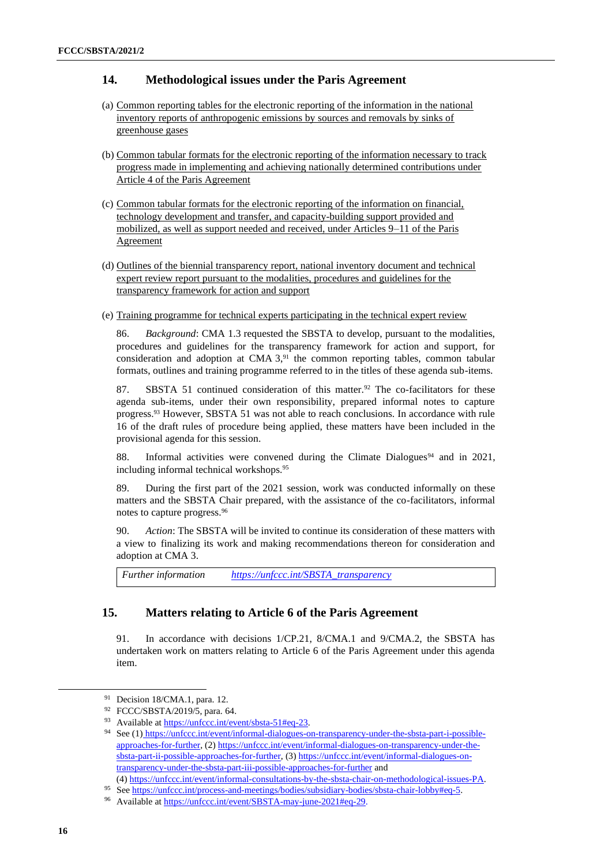## **14. Methodological issues under the Paris Agreement**

- (a) Common reporting tables for the electronic reporting of the information in the national inventory reports of anthropogenic emissions by sources and removals by sinks of greenhouse gases
- (b) Common tabular formats for the electronic reporting of the information necessary to track progress made in implementing and achieving nationally determined contributions under Article 4 of the Paris Agreement
- (c) Common tabular formats for the electronic reporting of the information on financial, technology development and transfer, and capacity-building support provided and mobilized, as well as support needed and received, under Articles 9–11 of the Paris Agreement
- (d) Outlines of the biennial transparency report, national inventory document and technical expert review report pursuant to the modalities, procedures and guidelines for the transparency framework for action and support
- (e) Training programme for technical experts participating in the technical expert review

86. *Background*: CMA 1.3 requested the SBSTA to develop, pursuant to the modalities, procedures and guidelines for the transparency framework for action and support, for consideration and adoption at CMA  $3$ ,<sup>91</sup>, the common reporting tables, common tabular formats, outlines and training programme referred to in the titles of these agenda sub-items.

87. SBSTA 51 continued consideration of this matter.<sup>92</sup> The co-facilitators for these agenda sub-items, under their own responsibility, prepared informal notes to capture progress.<sup>93</sup> However, SBSTA 51 was not able to reach conclusions. In accordance with rule 16 of the draft rules of procedure being applied, these matters have been included in the provisional agenda for this session.

88. Informal activities were convened during the Climate Dialogues<sup>94</sup> and in 2021, including informal technical workshops.<sup>95</sup>

89. During the first part of the 2021 session, work was conducted informally on these matters and the SBSTA Chair prepared, with the assistance of the co-facilitators, informal notes to capture progress.<sup>96</sup>

90. *Action*: The SBSTA will be invited to continue its consideration of these matters with a view to finalizing its work and making recommendations thereon for consideration and adoption at CMA 3.

*Further information [https://unfccc.int/SBSTA\\_transparency](https://unfccc.int/SBSTA_transparency)*

#### **15. Matters relating to Article 6 of the Paris Agreement**

91. In accordance with decisions 1/CP.21, 8/CMA.1 and 9/CMA.2, the SBSTA has undertaken work on matters relating to Article 6 of the Paris Agreement under this agenda item.

<sup>&</sup>lt;sup>91</sup> Decision 18/CMA.1, para. 12.

<sup>92</sup> FCCC/SBSTA/2019/5, para. 64.

<sup>93</sup> Available a[t https://unfccc.int/event/sbsta-51#eq-23.](https://unfccc.int/event/sbsta-51#eq-23)

<sup>94</sup> See (1) [https://unfccc.int/event/informal-dialogues-on-transparency-under-the-sbsta-part-i-possible](https://eur01.safelinks.protection.outlook.com/?url=https%3A%2F%2Funfccc.int%2Fevent%2Finformal-dialogues-on-transparency-under-the-sbsta-part-i-possible-approaches-for-further&data=04%7C01%7CJHanna%40unfccc.int%7Ce09afca4c46048d7f4e508d963fb4ba1%7C2a6c12ad406a4f33b686f78ff5822208%7C0%7C0%7C637650753211548102%7CUnknown%7CTWFpbGZsb3d8eyJWIjoiMC4wLjAwMDAiLCJQIjoiV2luMzIiLCJBTiI6Ik1haWwiLCJXVCI6Mn0%3D%7C1000&sdata=jbncYX6OidWLqMOOMH%2B32bopXotMhu5f19zW%2FzZmr8I%3D&reserved=0)[approaches-for-further,](https://eur01.safelinks.protection.outlook.com/?url=https%3A%2F%2Funfccc.int%2Fevent%2Finformal-dialogues-on-transparency-under-the-sbsta-part-i-possible-approaches-for-further&data=04%7C01%7CJHanna%40unfccc.int%7Ce09afca4c46048d7f4e508d963fb4ba1%7C2a6c12ad406a4f33b686f78ff5822208%7C0%7C0%7C637650753211548102%7CUnknown%7CTWFpbGZsb3d8eyJWIjoiMC4wLjAwMDAiLCJQIjoiV2luMzIiLCJBTiI6Ik1haWwiLCJXVCI6Mn0%3D%7C1000&sdata=jbncYX6OidWLqMOOMH%2B32bopXotMhu5f19zW%2FzZmr8I%3D&reserved=0) (2) [https://unfccc.int/event/informal-dialogues-on-transparency-under-the](https://unfccc.int/event/informal-dialogues-on-transparency-under-the-sbsta-part-ii-possible-approaches-for-further)[sbsta-part-ii-possible-approaches-for-further,](https://unfccc.int/event/informal-dialogues-on-transparency-under-the-sbsta-part-ii-possible-approaches-for-further) (3[\) https://unfccc.int/event/informal-dialogues-on](https://unfccc.int/event/informal-dialogues-on-transparency-under-the-sbsta-part-iii-possible-approaches-for-further)[transparency-under-the-sbsta-part-iii-possible-approaches-for-further](https://unfccc.int/event/informal-dialogues-on-transparency-under-the-sbsta-part-iii-possible-approaches-for-further) and

<sup>(4)</sup> [https://unfccc.int/event/informal-consultations-by-the-sbsta-chair-on-methodological-issues-PA.](https://unfccc.int/event/informal-consultations-by-the-sbsta-chair-on-methodological-issues-PA)

<sup>95</sup> See [https://unfccc.int/process-and-meetings/bodies/subsidiary-bodies/sbsta-chair-lobby#eq-5.](https://unfccc.int/process-and-meetings/bodies/subsidiary-bodies/sbsta-chair-lobby#eq-5)

<sup>96</sup> Available a[t https://unfccc.int/event/SBSTA-may-june-2021#eq-29.](https://unfccc.int/event/SBSTA-may-june-2021#eq-29)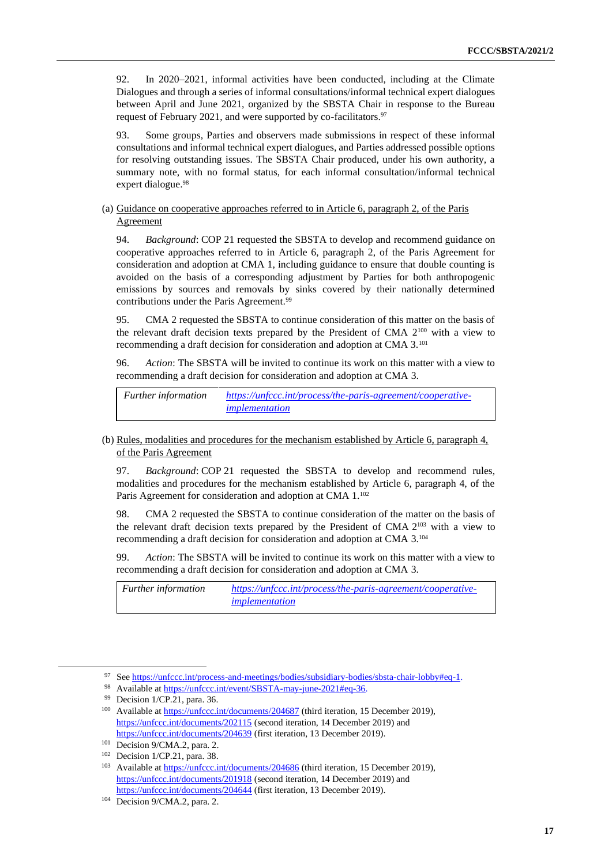92. In 2020–2021, informal activities have been conducted, including at the Climate Dialogues and through a series of informal consultations/informal technical expert dialogues between April and June 2021, organized by the SBSTA Chair in response to the Bureau request of February 2021, and were supported by co-facilitators.<sup>97</sup>

93. Some groups, Parties and observers made submissions in respect of these informal consultations and informal technical expert dialogues, and Parties addressed possible options for resolving outstanding issues. The SBSTA Chair produced, under his own authority, a summary note, with no formal status, for each informal consultation/informal technical expert dialogue.<sup>98</sup>

#### (a) Guidance on cooperative approaches referred to in Article 6, paragraph 2, of the Paris Agreement

94. *Background*: COP 21 requested the SBSTA to develop and recommend guidance on cooperative approaches referred to in Article 6, paragraph 2, of the Paris Agreement for consideration and adoption at CMA 1, including guidance to ensure that double counting is avoided on the basis of a corresponding adjustment by Parties for both anthropogenic emissions by sources and removals by sinks covered by their nationally determined contributions under the Paris Agreement.<sup>99</sup>

95. CMA 2 requested the SBSTA to continue consideration of this matter on the basis of the relevant draft decision texts prepared by the President of CMA 2<sup>100</sup> with a view to recommending a draft decision for consideration and adoption at CMA 3.<sup>101</sup>

96. *Action*: The SBSTA will be invited to continue its work on this matter with a view to recommending a draft decision for consideration and adoption at CMA 3.

*Further information [https://unfccc.int/process/the-paris-agreement/cooperative](https://unfccc.int/process/the-paris-agreement/cooperative-implementation)[implementation](https://unfccc.int/process/the-paris-agreement/cooperative-implementation)*

(b) Rules, modalities and procedures for the mechanism established by Article 6, paragraph 4, of the Paris Agreement

97. *Background*: COP 21 requested the SBSTA to develop and recommend rules, modalities and procedures for the mechanism established by Article 6, paragraph 4, of the Paris Agreement for consideration and adoption at CMA 1.<sup>102</sup>

98. CMA 2 requested the SBSTA to continue consideration of the matter on the basis of the relevant draft decision texts prepared by the President of CMA  $2^{103}$  with a view to recommending a draft decision for consideration and adoption at CMA 3.<sup>104</sup>

99. *Action*: The SBSTA will be invited to continue its work on this matter with a view to recommending a draft decision for consideration and adoption at CMA 3.

*Further information [https://unfccc.int/process/the-paris-agreement/cooperative](https://unfccc.int/process/the-paris-agreement/cooperative-implementation)[implementation](https://unfccc.int/process/the-paris-agreement/cooperative-implementation)*

<sup>97</sup> See [https://unfccc.int/process-and-meetings/bodies/subsidiary-bodies/sbsta-chair-lobby#eq-1.](https://unfccc.int/process-and-meetings/bodies/subsidiary-bodies/sbsta-chair-lobby#eq-1)

<sup>98</sup> Available a[t https://unfccc.int/event/SBSTA-may-june-2021#eq-36.](https://unfccc.int/event/SBSTA-may-june-2021#eq-36)

<sup>99</sup> Decision 1/CP.21, para. 36.

<sup>&</sup>lt;sup>100</sup> Available a[t https://unfccc.int/documents/204687](https://unfccc.int/documents/204687) (third iteration, 15 December 2019), <https://unfccc.int/documents/202115> (second iteration, 14 December 2019) and <https://unfccc.int/documents/204639> (first iteration, 13 December 2019).

<sup>101</sup> Decision 9/CMA.2, para. 2.

<sup>102</sup> Decision 1/CP.21, para. 38.

<sup>&</sup>lt;sup>103</sup> Available a[t https://unfccc.int/documents/204686](https://unfccc.int/documents/204686) (third iteration, 15 December 2019), <https://unfccc.int/documents/201918> (second iteration, 14 December 2019) and <https://unfccc.int/documents/204644> (first iteration, 13 December 2019).

<sup>104</sup> Decision 9/CMA.2, para. 2.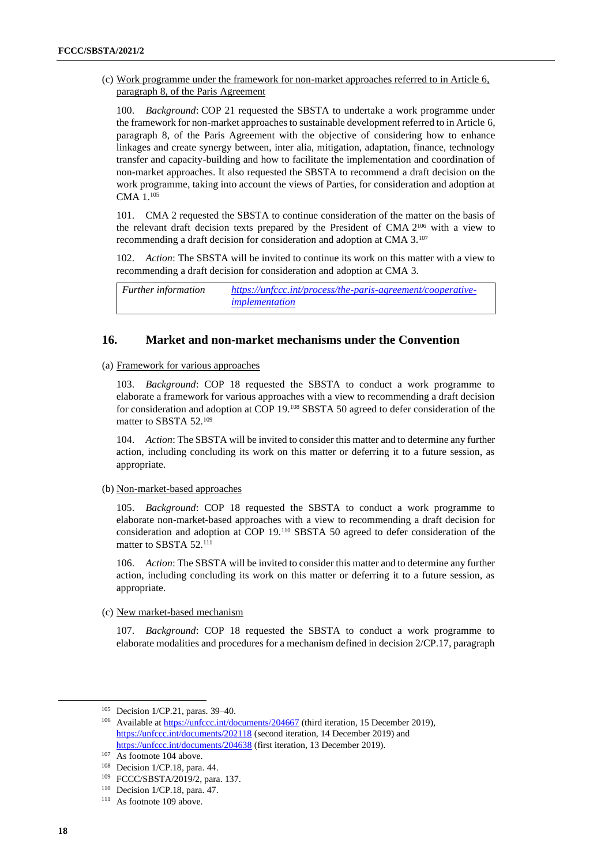(c) Work programme under the framework for non-market approaches referred to in Article 6, paragraph 8, of the Paris Agreement

100. *Background*: COP 21 requested the SBSTA to undertake a work programme under the framework for non-market approaches to sustainable development referred to in Article 6, paragraph 8, of the Paris Agreement with the objective of considering how to enhance linkages and create synergy between, inter alia, mitigation, adaptation, finance, technology transfer and capacity-building and how to facilitate the implementation and coordination of non-market approaches. It also requested the SBSTA to recommend a draft decision on the work programme, taking into account the views of Parties, for consideration and adoption at CMA 1.<sup>105</sup>

101. CMA 2 requested the SBSTA to continue consideration of the matter on the basis of the relevant draft decision texts prepared by the President of CMA 2 <sup>106</sup> with a view to recommending a draft decision for consideration and adoption at CMA 3.<sup>107</sup>

102. *Action*: The SBSTA will be invited to continue its work on this matter with a view to recommending a draft decision for consideration and adoption at CMA 3.

*Further information [https://unfccc.int/process/the-paris-agreement/cooperative](https://unfccc.int/process/the-paris-agreement/cooperative-implementation)[implementation](https://unfccc.int/process/the-paris-agreement/cooperative-implementation)*

#### **16. Market and non-market mechanisms under the Convention**

(a) Framework for various approaches

103. *Background*: COP 18 requested the SBSTA to conduct a work programme to elaborate a framework for various approaches with a view to recommending a draft decision for consideration and adoption at COP 19.<sup>108</sup> SBSTA 50 agreed to defer consideration of the matter to SBSTA 52.<sup>109</sup>

104. *Action*: The SBSTA will be invited to consider this matter and to determine any further action, including concluding its work on this matter or deferring it to a future session, as appropriate.

(b) Non-market-based approaches

105. *Background*: COP 18 requested the SBSTA to conduct a work programme to elaborate non-market-based approaches with a view to recommending a draft decision for consideration and adoption at COP 19.<sup>110</sup> SBSTA 50 agreed to defer consideration of the matter to SBSTA 52.<sup>111</sup>

106. *Action*: The SBSTA will be invited to consider this matter and to determine any further action, including concluding its work on this matter or deferring it to a future session, as appropriate.

(c) New market-based mechanism

107. *Background*: COP 18 requested the SBSTA to conduct a work programme to elaborate modalities and procedures for a mechanism defined in decision 2/CP.17, paragraph

<sup>105</sup> Decision 1/CP.21, paras. 39–40.

<sup>&</sup>lt;sup>106</sup> Available a[t https://unfccc.int/documents/204667](https://unfccc.int/documents/204667) (third iteration, 15 December 2019), <https://unfccc.int/documents/202118> (second iteration, 14 December 2019) and <https://unfccc.int/documents/204638> (first iteration, 13 December 2019).

 $107$  As footnote 104 above.

<sup>108</sup> Decision 1/CP.18, para. 44.

<sup>109</sup> FCCC/SBSTA/2019/2, para. 137.

<sup>110</sup> Decision 1/CP.18, para. 47.

<sup>111</sup> As footnote 109 above.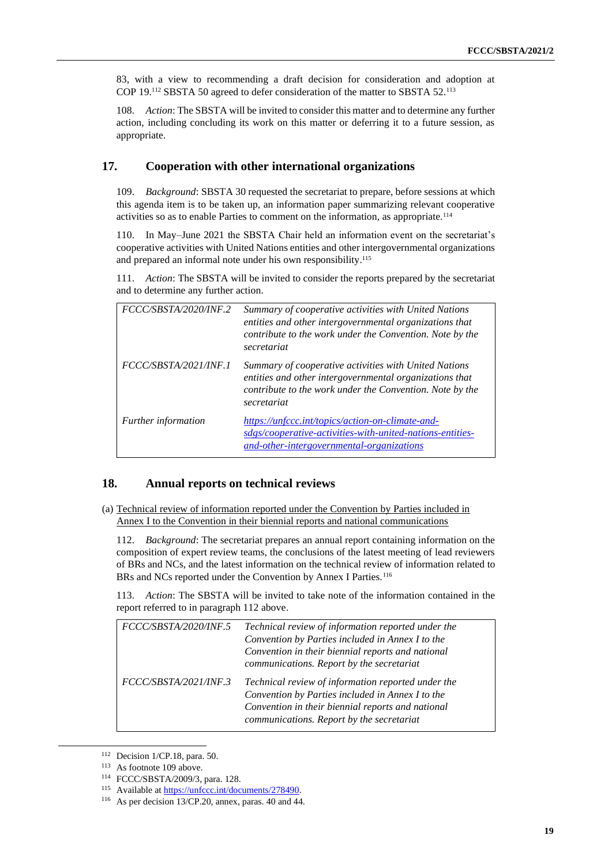83, with a view to recommending a draft decision for consideration and adoption at COP 19.<sup>112</sup> SBSTA 50 agreed to defer consideration of the matter to SBSTA 52.<sup>113</sup>

108. *Action*: The SBSTA will be invited to consider this matter and to determine any further action, including concluding its work on this matter or deferring it to a future session, as appropriate.

## **17. Cooperation with other international organizations**

109. *Background*: SBSTA 30 requested the secretariat to prepare, before sessions at which this agenda item is to be taken up, an information paper summarizing relevant cooperative activities so as to enable Parties to comment on the information, as appropriate.<sup>114</sup>

110. In May–June 2021 the SBSTA Chair held an information event on the secretariat's cooperative activities with United Nations entities and other intergovernmental organizations and prepared an informal note under his own responsibility. 115

111. *Action*: The SBSTA will be invited to consider the reports prepared by the secretariat and to determine any further action.

| FCCC/SBSTA/2020/INF.2      | Summary of cooperative activities with United Nations<br>entities and other intergovernmental organizations that<br>contribute to the work under the Convention. Note by the<br>secretariat |
|----------------------------|---------------------------------------------------------------------------------------------------------------------------------------------------------------------------------------------|
| FCCC/SBSTA/2021/INF.1      | Summary of cooperative activities with United Nations<br>entities and other intergovernmental organizations that<br>contribute to the work under the Convention. Note by the<br>secretariat |
| <i>Further information</i> | https://unfccc.int/topics/action-on-climate-and-<br>sdgs/cooperative-activities-with-united-nations-entities-<br>and-other-intergovernmental-organizations                                  |

#### **18. Annual reports on technical reviews**

(a) Technical review of information reported under the Convention by Parties included in Annex I to the Convention in their biennial reports and national communications

112. *Background*: The secretariat prepares an annual report containing information on the composition of expert review teams, the conclusions of the latest meeting of lead reviewers of BRs and NCs, and the latest information on the technical review of information related to BRs and NCs reported under the Convention by Annex I Parties.<sup>116</sup>

113. *Action*: The SBSTA will be invited to take note of the information contained in the report referred to in paragraph 112 above.

| FCCC/SBSTA/2020/INF.5 | Technical review of information reported under the<br>Convention by Parties included in Annex I to the<br>Convention in their biennial reports and national<br>communications. Report by the secretariat |
|-----------------------|----------------------------------------------------------------------------------------------------------------------------------------------------------------------------------------------------------|
| FCCC/SBSTA/2021/INF.3 | Technical review of information reported under the<br>Convention by Parties included in Annex I to the<br>Convention in their biennial reports and national<br>communications. Report by the secretariat |

<sup>112</sup> Decision 1/CP.18, para. 50.

<sup>113</sup> As footnote 109 above.

<sup>114</sup> FCCC/SBSTA/2009/3, para. 128.

<sup>115</sup> Available a[t https://unfccc.int/documents/278490.](https://unfccc.int/documents/278490)

<sup>116</sup> As per decision 13/CP.20, annex, paras. 40 and 44.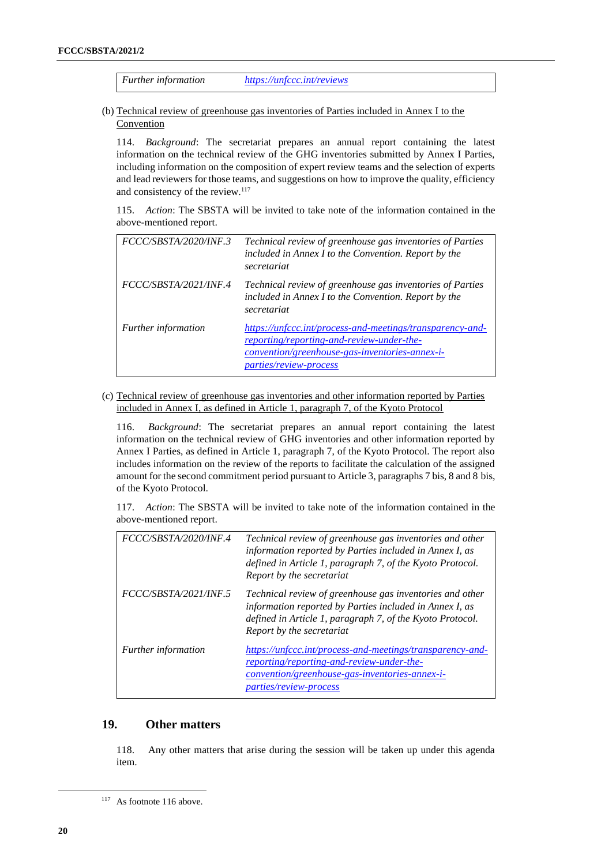*Further information <https://unfccc.int/reviews>*

(b) Technical review of greenhouse gas inventories of Parties included in Annex I to the Convention

114. *Background*: The secretariat prepares an annual report containing the latest information on the technical review of the GHG inventories submitted by Annex I Parties, including information on the composition of expert review teams and the selection of experts and lead reviewers for those teams, and suggestions on how to improve the quality, efficiency and consistency of the review.<sup>117</sup>

115. *Action*: The SBSTA will be invited to take note of the information contained in the above-mentioned report.

| FCCC/SBSTA/2020/INF.3 | Technical review of greenhouse gas inventories of Parties<br>included in Annex I to the Convention. Report by the<br>secretariat                                                                 |
|-----------------------|--------------------------------------------------------------------------------------------------------------------------------------------------------------------------------------------------|
| FCCC/SBSTA/2021/INF.4 | Technical review of greenhouse gas inventories of Parties<br>included in Annex I to the Convention. Report by the<br>secretariat                                                                 |
| Further information   | https://unfccc.int/process-and-meetings/transparency-and-<br><u>reporting/reporting-and-review-under-the-</u><br>convention/greenhouse-gas-inventories-annex-i-<br><i>parties/review-process</i> |

(c) Technical review of greenhouse gas inventories and other information reported by Parties included in Annex I, as defined in Article 1, paragraph 7, of the Kyoto Protocol

116. *Background*: The secretariat prepares an annual report containing the latest information on the technical review of GHG inventories and other information reported by Annex I Parties, as defined in Article 1, paragraph 7, of the Kyoto Protocol. The report also includes information on the review of the reports to facilitate the calculation of the assigned amount for the second commitment period pursuant to Article 3, paragraphs 7 bis, 8 and 8 bis, of the Kyoto Protocol.

117. *Action*: The SBSTA will be invited to take note of the information contained in the above-mentioned report.

| FCCC/SBSTA/2020/INF.4      | Technical review of greenhouse gas inventories and other<br>information reported by Parties included in Annex I, as<br>defined in Article 1, paragraph 7, of the Kyoto Protocol.<br>Report by the secretariat |
|----------------------------|---------------------------------------------------------------------------------------------------------------------------------------------------------------------------------------------------------------|
| FCCC/SBSTA/2021/INF.5      | Technical review of greenhouse gas inventories and other<br>information reported by Parties included in Annex I, as<br>defined in Article 1, paragraph 7, of the Kyoto Protocol.<br>Report by the secretariat |
| <i>Further information</i> | https://unfccc.int/process-and-meetings/transparency-and-<br>reporting/reporting-and-review-under-the-<br>convention/greenhouse-gas-inventories-annex-i-<br>parties/review-process                            |

# **19. Other matters**

118. Any other matters that arise during the session will be taken up under this agenda item.

<sup>117</sup> As footnote 116 above.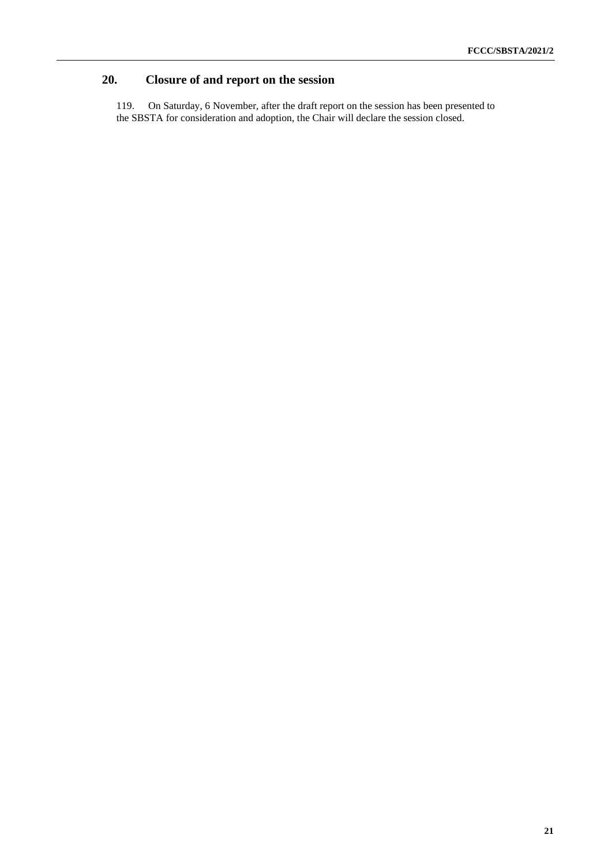# **20. Closure of and report on the session**

<span id="page-20-0"></span>119. On Saturday, 6 November, after the draft report on the session has been presented to the SBSTA for consideration and adoption, the Chair will declare the session closed.